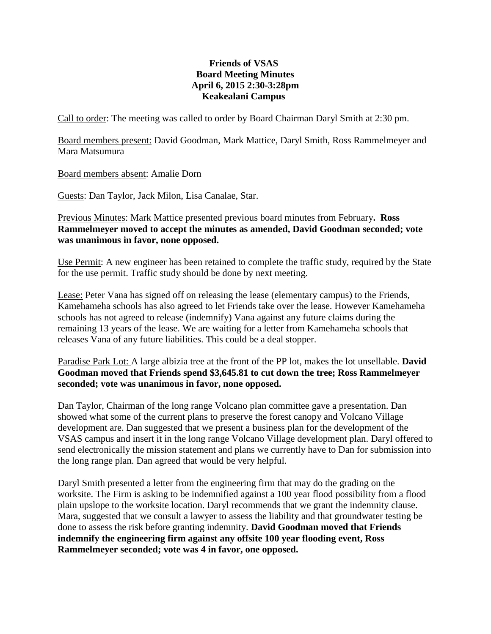## **Friends of VSAS Board Meeting Minutes April 6, 2015 2:30-3:28pm Keakealani Campus**

Call to order: The meeting was called to order by Board Chairman Daryl Smith at 2:30 pm.

Board members present: David Goodman, Mark Mattice, Daryl Smith, Ross Rammelmeyer and Mara Matsumura

Board members absent: Amalie Dorn

Guests: Dan Taylor, Jack Milon, Lisa Canalae, Star.

Previous Minutes: Mark Mattice presented previous board minutes from February**. Ross Rammelmeyer moved to accept the minutes as amended, David Goodman seconded; vote was unanimous in favor, none opposed.**

Use Permit: A new engineer has been retained to complete the traffic study, required by the State for the use permit. Traffic study should be done by next meeting.

Lease: Peter Vana has signed off on releasing the lease (elementary campus) to the Friends, Kamehameha schools has also agreed to let Friends take over the lease. However Kamehameha schools has not agreed to release (indemnify) Vana against any future claims during the remaining 13 years of the lease. We are waiting for a letter from Kamehameha schools that releases Vana of any future liabilities. This could be a deal stopper.

Paradise Park Lot: A large albizia tree at the front of the PP lot, makes the lot unsellable. **David Goodman moved that Friends spend \$3,645.81 to cut down the tree; Ross Rammelmeyer seconded; vote was unanimous in favor, none opposed.**

Dan Taylor, Chairman of the long range Volcano plan committee gave a presentation. Dan showed what some of the current plans to preserve the forest canopy and Volcano Village development are. Dan suggested that we present a business plan for the development of the VSAS campus and insert it in the long range Volcano Village development plan. Daryl offered to send electronically the mission statement and plans we currently have to Dan for submission into the long range plan. Dan agreed that would be very helpful.

Daryl Smith presented a letter from the engineering firm that may do the grading on the worksite. The Firm is asking to be indemnified against a 100 year flood possibility from a flood plain upslope to the worksite location. Daryl recommends that we grant the indemnity clause. Mara, suggested that we consult a lawyer to assess the liability and that groundwater testing be done to assess the risk before granting indemnity. **David Goodman moved that Friends indemnify the engineering firm against any offsite 100 year flooding event, Ross Rammelmeyer seconded; vote was 4 in favor, one opposed.**